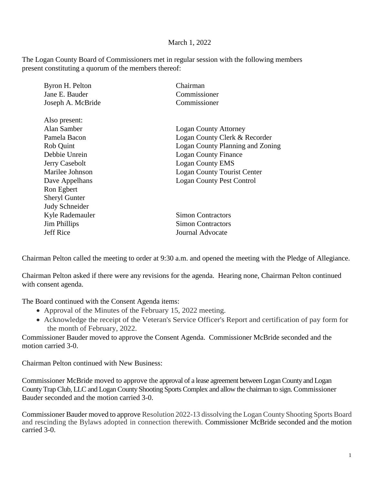## March 1, 2022

The Logan County Board of Commissioners met in regular session with the following members present constituting a quorum of the members thereof:

| Jane E. Bauder<br>Commissioner<br>Joseph A. McBride<br>Commissioner<br>Also present:<br>Alan Samber<br><b>Logan County Attorney</b><br>Pamela Bacon<br>Logan County Clerk & Recorder<br>Rob Quint<br>Debbie Unrein<br><b>Logan County Finance</b> | Byron H. Pelton | Chairman                         |
|---------------------------------------------------------------------------------------------------------------------------------------------------------------------------------------------------------------------------------------------------|-----------------|----------------------------------|
|                                                                                                                                                                                                                                                   |                 |                                  |
|                                                                                                                                                                                                                                                   |                 |                                  |
|                                                                                                                                                                                                                                                   |                 |                                  |
|                                                                                                                                                                                                                                                   |                 |                                  |
|                                                                                                                                                                                                                                                   |                 |                                  |
|                                                                                                                                                                                                                                                   |                 | Logan County Planning and Zoning |
|                                                                                                                                                                                                                                                   |                 |                                  |
|                                                                                                                                                                                                                                                   | Jerry Casebolt  | <b>Logan County EMS</b>          |
| Marilee Johnson<br><b>Logan County Tourist Center</b>                                                                                                                                                                                             |                 |                                  |
| <b>Logan County Pest Control</b><br>Dave Appelhans                                                                                                                                                                                                |                 |                                  |
| Ron Egbert                                                                                                                                                                                                                                        |                 |                                  |
| <b>Sheryl Gunter</b>                                                                                                                                                                                                                              |                 |                                  |
| Judy Schneider                                                                                                                                                                                                                                    |                 |                                  |
| Kyle Rademauler<br><b>Simon Contractors</b>                                                                                                                                                                                                       |                 |                                  |
| Jim Phillips<br><b>Simon Contractors</b>                                                                                                                                                                                                          |                 |                                  |
| <b>Jeff Rice</b><br>Journal Advocate                                                                                                                                                                                                              |                 |                                  |

Chairman Pelton called the meeting to order at 9:30 a.m. and opened the meeting with the Pledge of Allegiance.

Chairman Pelton asked if there were any revisions for the agenda. Hearing none, Chairman Pelton continued with consent agenda.

The Board continued with the Consent Agenda items:

- Approval of the Minutes of the February 15, 2022 meeting.
- Acknowledge the receipt of the Veteran's Service Officer's Report and certification of pay form for the month of February, 2022.

Commissioner Bauder moved to approve the Consent Agenda. Commissioner McBride seconded and the motion carried 3-0.

Chairman Pelton continued with New Business:

Commissioner McBride moved to approve the approval of a lease agreement between Logan County and Logan County Trap Club, LLC and Logan County Shooting Sports Complex and allow the chairman to sign. Commissioner Bauder seconded and the motion carried 3-0.

Commissioner Bauder moved to approve Resolution 2022-13 dissolving the Logan County Shooting Sports Board and rescinding the Bylaws adopted in connection therewith. Commissioner McBride seconded and the motion carried 3-0.